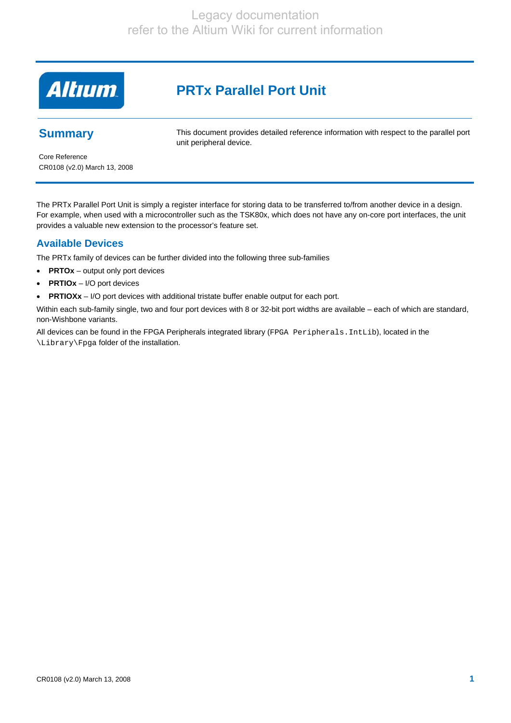**Altıum** 

# **PRTx Parallel Port Unit**

## **Summary**

This document provides detailed reference information with respect to the parallel port unit peripheral device.

Core Reference CR0108 (v2.0) March 13, 2008

The PRTx Parallel Port Unit is simply a register interface for storing data to be transferred to/from another device in a design. For example, when used with a microcontroller such as the TSK80x, which does not have any on-core port interfaces, the unit provides a valuable new extension to the processor's feature set.

### **Available Devices**

The PRTx family of devices can be further divided into the following three sub-families

- **PRTOx** output only port devices
- **PRTIOx** I/O port devices
- **PRTIOXx** I/O port devices with additional tristate buffer enable output for each port.

Within each sub-family single, two and four port devices with 8 or 32-bit port widths are available – each of which are standard, non-Wishbone variants.

All devices can be found in the FPGA Peripherals integrated library (FPGA Peripherals.IntLib), located in the \Library\Fpga folder of the installation.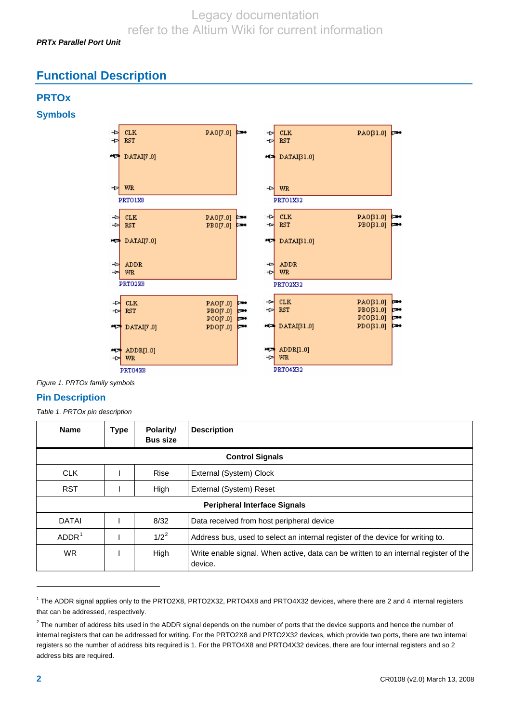*PRTx Parallel Port Unit* 

## **Functional Description**

### **PRTOx**

#### **Symbols**



*Figure 1. PRTOx family symbols* 

### **Pin Description**

*Table 1. PRTOx pin description* 

| <b>Name</b>       | <b>Type</b>                         | Polarity/<br><b>Bus size</b> | <b>Description</b>                                                                              |  |
|-------------------|-------------------------------------|------------------------------|-------------------------------------------------------------------------------------------------|--|
|                   |                                     |                              | <b>Control Signals</b>                                                                          |  |
| <b>CLK</b>        |                                     | <b>Rise</b>                  | External (System) Clock                                                                         |  |
| <b>RST</b>        |                                     | High                         | External (System) Reset                                                                         |  |
|                   | <b>Peripheral Interface Signals</b> |                              |                                                                                                 |  |
| <b>DATAI</b>      |                                     | 8/32                         | Data received from host peripheral device                                                       |  |
| ADDR <sup>1</sup> |                                     | $1/2^2$                      | Address bus, used to select an internal register of the device for writing to.                  |  |
| <b>WR</b>         |                                     | High                         | Write enable signal. When active, data can be written to an internal register of the<br>device. |  |

<span id="page-1-0"></span><sup>&</sup>lt;sup>1</sup> The ADDR signal applies only to the PRTO2X8, PRTO2X32, PRTO4X8 and PRTO4X32 devices, where there are 2 and 4 internal registers that can be addressed, respectively.

<span id="page-1-1"></span> $^2$  The number of address bits used in the ADDR signal depends on the number of ports that the device supports and hence the number of internal registers that can be addressed for writing. For the PRTO2X8 and PRTO2X32 devices, which provide two ports, there are two internal registers so the number of address bits required is 1. For the PRTO4X8 and PRTO4X32 devices, there are four internal registers and so 2 address bits are required.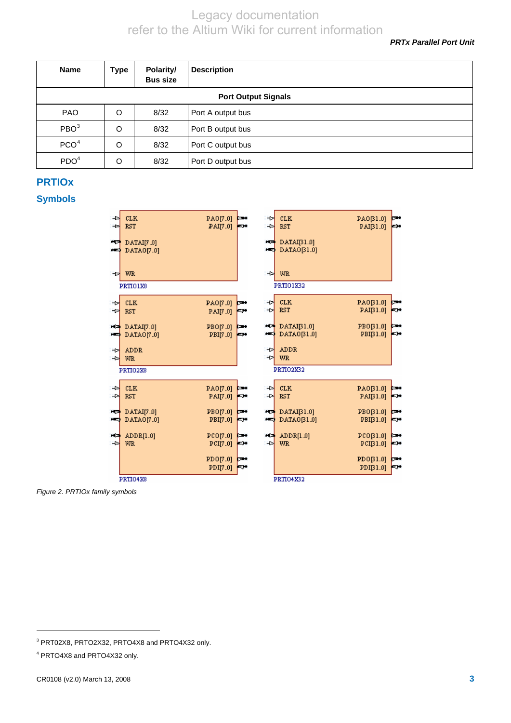#### *PRTx Parallel Port Unit*

| Name             | <b>Type</b> | Polarity/<br><b>Bus size</b> | <b>Description</b>         |
|------------------|-------------|------------------------------|----------------------------|
|                  |             |                              | <b>Port Output Signals</b> |
| <b>PAO</b>       | O           | 8/32                         | Port A output bus          |
| PBO <sup>3</sup> | O           | 8/32                         | Port B output bus          |
| PCO <sup>4</sup> | O           | 8/32                         | Port C output bus          |
| PDO <sup>4</sup> | O           | 8/32                         | Port D output bus          |

## <span id="page-2-2"></span>**PRTIOx**

**Symbols** 



*Figure 2. PRTIOx family symbols* 

<span id="page-2-0"></span><sup>&</sup>lt;sup>3</sup> PRT02X8, PRTO2X32, PRTO4X8 and PRTO4X32 only.

<span id="page-2-1"></span><sup>&</sup>lt;sup>4</sup> PRTO4X8 and PRTO4X32 only.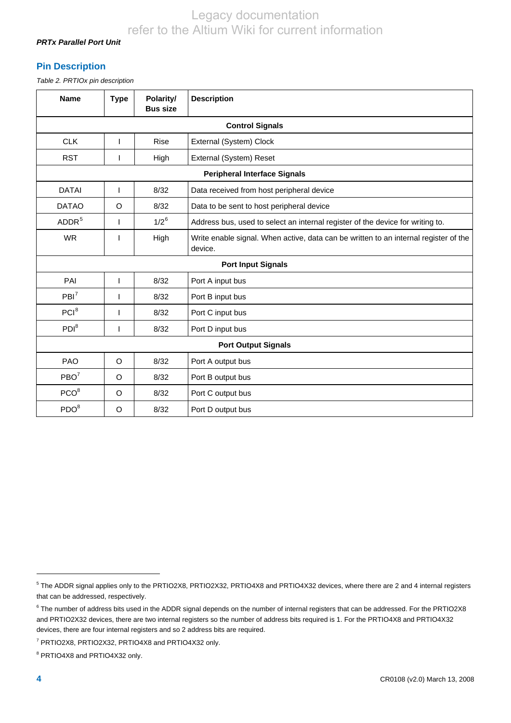#### *PRTx Parallel Port Unit*

### **Pin Description**

*Table 2. PRTIOx pin description* 

<span id="page-3-5"></span><span id="page-3-4"></span>

| <b>Name</b>       | <b>Type</b>                | Polarity/<br><b>Bus size</b> | <b>Description</b>                                                                              |  |
|-------------------|----------------------------|------------------------------|-------------------------------------------------------------------------------------------------|--|
|                   |                            |                              | <b>Control Signals</b>                                                                          |  |
| <b>CLK</b>        | $\mathsf{I}$               | <b>Rise</b>                  | External (System) Clock                                                                         |  |
| <b>RST</b>        | $\mathsf{I}$               | High                         | External (System) Reset                                                                         |  |
|                   |                            |                              | <b>Peripheral Interface Signals</b>                                                             |  |
| <b>DATAI</b>      | T                          | 8/32                         | Data received from host peripheral device                                                       |  |
| <b>DATAO</b>      | O                          | 8/32                         | Data to be sent to host peripheral device                                                       |  |
| ADDR <sup>5</sup> | T                          | $1/2^6$                      | Address bus, used to select an internal register of the device for writing to.                  |  |
| <b>WR</b>         | ı                          | High                         | Write enable signal. When active, data can be written to an internal register of the<br>device. |  |
|                   |                            |                              | <b>Port Input Signals</b>                                                                       |  |
| PAI               | T                          | 8/32                         | Port A input bus                                                                                |  |
| PBI <sup>7</sup>  | I.                         | 8/32                         | Port B input bus                                                                                |  |
| PCl <sup>8</sup>  |                            | 8/32                         | Port C input bus                                                                                |  |
| PDI <sup>8</sup>  | I                          | 8/32                         | Port D input bus                                                                                |  |
|                   | <b>Port Output Signals</b> |                              |                                                                                                 |  |
| <b>PAO</b>        | O                          | 8/32                         | Port A output bus                                                                               |  |
| PBO <sup>7</sup>  | O                          | 8/32                         | Port B output bus                                                                               |  |
| PCO <sup>8</sup>  | O                          | 8/32                         | Port C output bus                                                                               |  |
| PDO <sup>8</sup>  | O                          | 8/32                         | Port D output bus                                                                               |  |

<span id="page-3-0"></span> $^5$  The ADDR signal applies only to the PRTIO2X8, PRTIO2X32, PRTIO4X8 and PRTIO4X32 devices, where there are 2 and 4 internal registers that can be addressed, respectively.

<span id="page-3-1"></span> $^6$  The number of address bits used in the ADDR signal depends on the number of internal registers that can be addressed. For the PRTIO2X8 and PRTIO2X32 devices, there are two internal registers so the number of address bits required is 1. For the PRTIO4X8 and PRTIO4X32 devices, there are four internal registers and so 2 address bits are required.

<span id="page-3-2"></span><sup>7</sup> PRTIO2X8, PRTIO2X32, PRTIO4X8 and PRTIO4X32 only.

<span id="page-3-3"></span><sup>&</sup>lt;sup>8</sup> PRTIO4X8 and PRTIO4X32 only.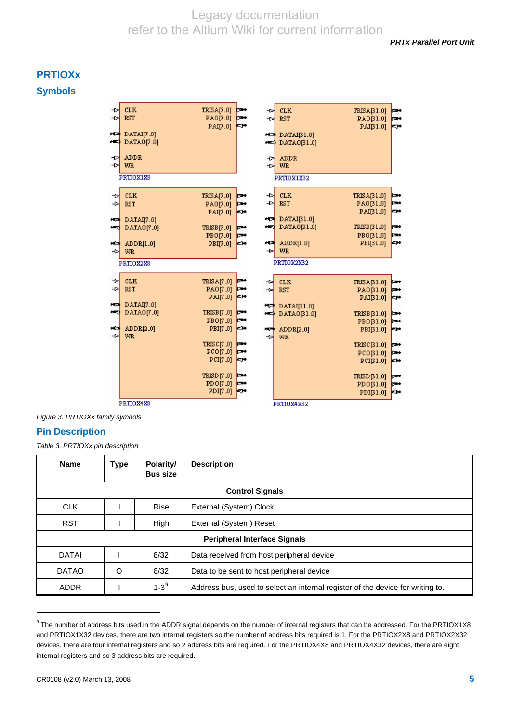*PRTx Parallel Port Unit* 

### **PRTIOXx**

#### **Symbols**



*Figure 3. PRTIOXx family symbols* 

#### **Pin Description**

*Table 3. PRTIOXx pin description* 

| <b>Name</b>  | <b>Type</b>                         | Polarity/<br><b>Bus size</b> | <b>Description</b>                                                             |
|--------------|-------------------------------------|------------------------------|--------------------------------------------------------------------------------|
|              | <b>Control Signals</b>              |                              |                                                                                |
| <b>CLK</b>   |                                     | Rise                         | External (System) Clock                                                        |
| <b>RST</b>   |                                     | High                         | External (System) Reset                                                        |
|              | <b>Peripheral Interface Signals</b> |                              |                                                                                |
| <b>DATAI</b> |                                     | 8/32                         | Data received from host peripheral device                                      |
| <b>DATAO</b> | O                                   | 8/32                         | Data to be sent to host peripheral device                                      |
| <b>ADDR</b>  |                                     | $1 - 3^9$                    | Address bus, used to select an internal register of the device for writing to. |

<span id="page-4-0"></span><sup>&</sup>lt;sup>9</sup> The number of address bits used in the ADDR signal depends on the number of internal registers that can be addressed. For the PRTIOX1X8 and PRTIOX1X32 devices, there are two internal registers so the number of address bits required is 1. For the PRTIOX2X8 and PRTIOX2X32 devices, there are four internal registers and so 2 address bits are required. For the PRTIOX4X8 and PRTIOX4X32 devices, there are eight internal registers and so 3 address bits are required.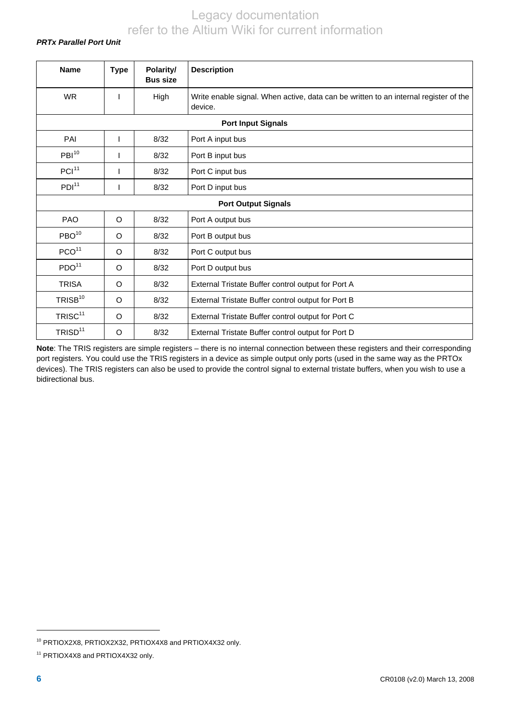*PRTx Parallel Port Unit* 

<span id="page-5-3"></span><span id="page-5-2"></span>

| <b>Name</b>                | <b>Type</b> | Polarity/<br><b>Bus size</b> | <b>Description</b>                                                                              |
|----------------------------|-------------|------------------------------|-------------------------------------------------------------------------------------------------|
| <b>WR</b>                  |             | High                         | Write enable signal. When active, data can be written to an internal register of the<br>device. |
|                            |             |                              | <b>Port Input Signals</b>                                                                       |
| PAI                        | ı           | 8/32                         | Port A input bus                                                                                |
| PBI <sup>10</sup>          |             | 8/32                         | Port B input bus                                                                                |
| PCI <sup>11</sup>          | ı           | 8/32                         | Port C input bus                                                                                |
| PDI <sup>11</sup>          |             | 8/32                         | Port D input bus                                                                                |
| <b>Port Output Signals</b> |             |                              |                                                                                                 |
| <b>PAO</b>                 | O           | 8/32                         | Port A output bus                                                                               |
| PBO <sup>10</sup>          | O           | 8/32                         | Port B output bus                                                                               |
| PCO <sup>11</sup>          | O           | 8/32                         | Port C output bus                                                                               |
| PDO <sup>11</sup>          | O           | 8/32                         | Port D output bus                                                                               |
| <b>TRISA</b>               | O           | 8/32                         | External Tristate Buffer control output for Port A                                              |
| TRISB <sup>10</sup>        | O           | 8/32                         | External Tristate Buffer control output for Port B                                              |
| TRISC <sup>11</sup>        | O           | 8/32                         | External Tristate Buffer control output for Port C                                              |
| TRISD <sup>11</sup>        | O           | 8/32                         | External Tristate Buffer control output for Port D                                              |

**Note**: The TRIS registers are simple registers – there is no internal connection between these registers and their corresponding port registers. You could use the TRIS registers in a device as simple output only ports (used in the same way as the PRTOx devices). The TRIS registers can also be used to provide the control signal to external tristate buffers, when you wish to use a bidirectional bus.

<span id="page-5-0"></span><sup>&</sup>lt;sup>10</sup> PRTIOX2X8, PRTIOX2X32, PRTIOX4X8 and PRTIOX4X32 only.

<span id="page-5-1"></span><sup>&</sup>lt;sup>11</sup> PRTIOX4X8 and PRTIOX4X32 only.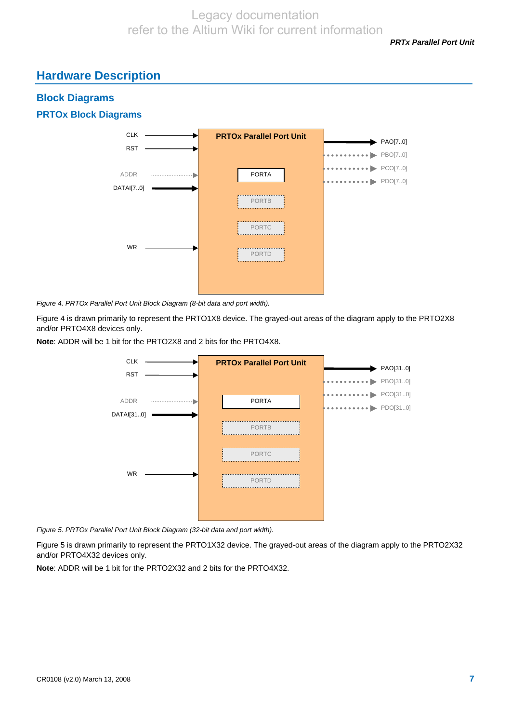*PRTx Parallel Port Unit* 

## **Hardware Description**

### **Block Diagrams**

### **PRTOx Block Diagrams**



<span id="page-6-0"></span>*Figure 4. PRTOx Parallel Port Unit Block Diagram (8-bit data and port width).* 

[Figure 4](#page-6-0) is drawn primarily to represent the PRTO1X8 device. The grayed-out areas of the diagram apply to the PRTO2X8 and/or PRTO4X8 devices only.

**Note**: ADDR will be 1 bit for the PRTO2X8 and 2 bits for the PRTO4X8.



<span id="page-6-1"></span>*Figure 5. PRTOx Parallel Port Unit Block Diagram (32-bit data and port width).* 

[Figure 5](#page-6-1) is drawn primarily to represent the PRTO1X32 device. The grayed-out areas of the diagram apply to the PRTO2X32 and/or PRTO4X32 devices only.

**Note**: ADDR will be 1 bit for the PRTO2X32 and 2 bits for the PRTO4X32.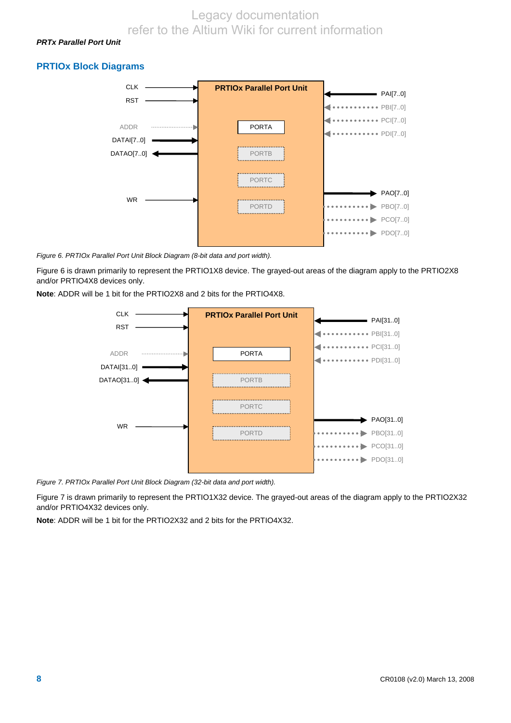#### *PRTx Parallel Port Unit*

### **PRTIOx Block Diagrams**



<span id="page-7-0"></span>*Figure 6. PRTIOx Parallel Port Unit Block Diagram (8-bit data and port width).* 

[Figure 6](#page-7-0) is drawn primarily to represent the PRTIO1X8 device. The grayed-out areas of the diagram apply to the PRTIO2X8 and/or PRTIO4X8 devices only.

**Note**: ADDR will be 1 bit for the PRTIO2X8 and 2 bits for the PRTIO4X8.



<span id="page-7-1"></span>*Figure 7. PRTIOx Parallel Port Unit Block Diagram (32-bit data and port width).* 

[Figure 7](#page-7-1) is drawn primarily to represent the PRTIO1X32 device. The grayed-out areas of the diagram apply to the PRTIO2X32 and/or PRTIO4X32 devices only.

**Note**: ADDR will be 1 bit for the PRTIO2X32 and 2 bits for the PRTIO4X32.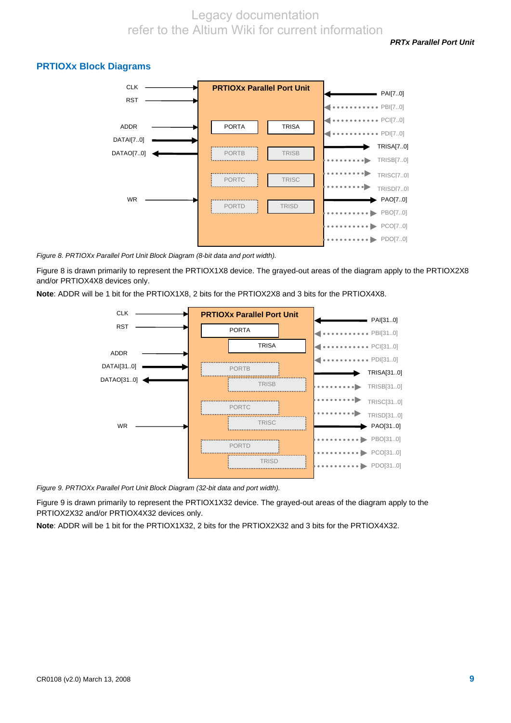*PRTx Parallel Port Unit* 

### **PRTIOXx Block Diagrams**



<span id="page-8-0"></span>*Figure 8. PRTIOXx Parallel Port Unit Block Diagram (8-bit data and port width).* 

[Figure 8](#page-8-0) is drawn primarily to represent the PRTIOX1X8 device. The grayed-out areas of the diagram apply to the PRTIOX2X8 and/or PRTIOX4X8 devices only.

**Note**: ADDR will be 1 bit for the PRTIOX1X8, 2 bits for the PRTIOX2X8 and 3 bits for the PRTIOX4X8.



<span id="page-8-1"></span>*Figure 9. PRTIOXx Parallel Port Unit Block Diagram (32-bit data and port width).* 

[Figure 9](#page-8-1) is drawn primarily to represent the PRTIOX1X32 device. The grayed-out areas of the diagram apply to the PRTIOX2X32 and/or PRTIOX4X32 devices only.

**Note**: ADDR will be 1 bit for the PRTIOX1X32, 2 bits for the PRTIOX2X32 and 3 bits for the PRTIOX4X32.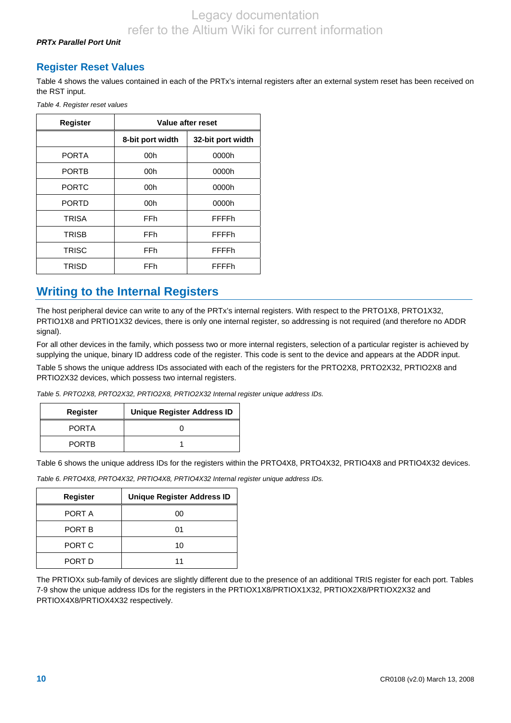*PRTx Parallel Port Unit* 

### **Register Reset Values**

[Table 4](#page-9-0) shows the values contained in each of the PRTx's internal registers after an external system reset has been received on the RST input.

<span id="page-9-0"></span>*Table 4. Register reset values* 

| <b>Register</b> | Value after reset |                   |
|-----------------|-------------------|-------------------|
|                 | 8-bit port width  | 32-bit port width |
| <b>PORTA</b>    | 00h               | 0000h             |
| <b>PORTB</b>    | 00h               | 0000h             |
| <b>PORTC</b>    | 00 <sub>h</sub>   | 0000h             |
| <b>PORTD</b>    | 00h               | 0000h             |
| <b>TRISA</b>    | <b>FFh</b>        | FFFFh             |
| <b>TRISB</b>    | <b>FFh</b>        | FFFFh             |
| <b>TRISC</b>    | <b>FFh</b>        | FFFFh             |
| <b>TRISD</b>    | FFh               | FFFFh             |

## **Writing to the Internal Registers**

The host peripheral device can write to any of the PRTx's internal registers. With respect to the PRTO1X8, PRTO1X32, PRTIO1X8 and PRTIO1X32 devices, there is only one internal register, so addressing is not required (and therefore no ADDR signal).

For all other devices in the family, which possess two or more internal registers, selection of a particular register is achieved by supplying the unique, binary ID address code of the register. This code is sent to the device and appears at the ADDR input.

[Table 5](#page-9-1) shows the unique address IDs associated with each of the registers for the PRTO2X8, PRTO2X32, PRTIO2X8 and PRTIO2X32 devices, which possess two internal registers.

<span id="page-9-1"></span>*Table 5. PRTO2X8, PRTO2X32, PRTIO2X8, PRTIO2X32 Internal register unique address IDs.* 

| Register     | <b>Unique Register Address ID</b> |
|--------------|-----------------------------------|
| <b>PORTA</b> |                                   |
| <b>PORTB</b> |                                   |

[Table 6](#page-9-2) shows the unique address IDs for the registers within the PRTO4X8, PRTO4X32, PRTIO4X8 and PRTIO4X32 devices.

<span id="page-9-2"></span>

|  | Table 6. PRTO4X8, PRTO4X32, PRTIO4X8, PRTIO4X32 Internal register unique address IDs. |
|--|---------------------------------------------------------------------------------------|
|--|---------------------------------------------------------------------------------------|

| <b>Register</b> | <b>Unique Register Address ID</b> |
|-----------------|-----------------------------------|
| PORT A          | 00                                |
| PORT B          | 01                                |
| PORT C          | 10                                |
| PORT D          | 11                                |

The PRTIOXx sub-family of devices are slightly different due to the presence of an additional TRIS register for each port. Tables 7-9 show the unique address IDs for the registers in the PRTIOX1X8/PRTIOX1X32, PRTIOX2X8/PRTIOX2X32 and PRTIOX4X8/PRTIOX4X32 respectively.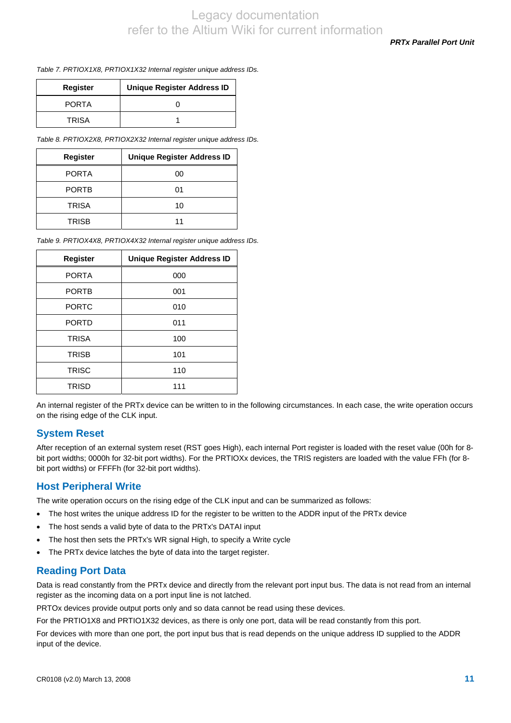*PRTx Parallel Port Unit* 

#### *Table 7. PRTIOX1X8, PRTIOX1X32 Internal register unique address IDs.*

| Register     | <b>Unique Register Address ID</b> |
|--------------|-----------------------------------|
| <b>PORTA</b> |                                   |
| TRISA        |                                   |

*Table 8. PRTIOX2X8, PRTIOX2X32 Internal register unique address IDs.* 

| <b>Register</b> | <b>Unique Register Address ID</b> |
|-----------------|-----------------------------------|
| <b>PORTA</b>    | 00                                |
| <b>PORTB</b>    | 01                                |
| <b>TRISA</b>    | 10                                |
| <b>TRISB</b>    | 11                                |

*Table 9. PRTIOX4X8, PRTIOX4X32 Internal register unique address IDs.* 

| Register     | <b>Unique Register Address ID</b> |
|--------------|-----------------------------------|
| <b>PORTA</b> | 000                               |
| <b>PORTB</b> | 001                               |
| <b>PORTC</b> | 010                               |
| <b>PORTD</b> | 011                               |
| <b>TRISA</b> | 100                               |
| <b>TRISB</b> | 101                               |
| <b>TRISC</b> | 110                               |
| <b>TRISD</b> | 111                               |

An internal register of the PRTx device can be written to in the following circumstances. In each case, the write operation occurs on the rising edge of the CLK input.

### **System Reset**

After reception of an external system reset (RST goes High), each internal Port register is loaded with the reset value (00h for 8 bit port widths; 0000h for 32-bit port widths). For the PRTIOXx devices, the TRIS registers are loaded with the value FFh (for 8 bit port widths) or FFFFh (for 32-bit port widths).

### **Host Peripheral Write**

The write operation occurs on the rising edge of the CLK input and can be summarized as follows:

- The host writes the unique address ID for the register to be written to the ADDR input of the PRTx device
- The host sends a valid byte of data to the PRTx's DATAI input
- The host then sets the PRTx's WR signal High, to specify a Write cycle
- The PRTx device latches the byte of data into the target register.

### **Reading Port Data**

Data is read constantly from the PRTx device and directly from the relevant port input bus. The data is not read from an internal register as the incoming data on a port input line is not latched.

PRTOx devices provide output ports only and so data cannot be read using these devices.

For the PRTIO1X8 and PRTIO1X32 devices, as there is only one port, data will be read constantly from this port.

For devices with more than one port, the port input bus that is read depends on the unique address ID supplied to the ADDR input of the device.